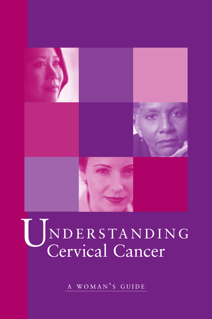

# UNDERSTANDI NDERSTANDING

A WOMAN'S GUIDE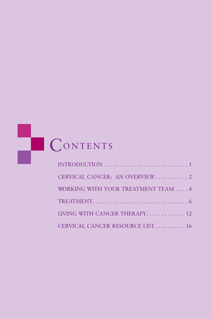# CONTENTS

| CERVICAL CANCER: AN OVERVIEW 2       |
|--------------------------------------|
| WORKING WITH YOUR TREATMENT TEAM  4  |
|                                      |
| <b>LIVING WITH CANCER THERAPY 12</b> |
| CERVICAL CANCER RESOURCE LIST  16    |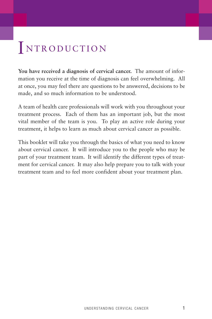# INTRODUCTION

**You have received a diagnosis of cervical cancer.** The amount of information you receive at the time of diagnosis can feel overwhelming. All at once, you may feel there are questions to be answered, decisions to be made, and so much information to be understood.

A team of health care professionals will work with you throughout your treatment process. Each of them has an important job, but the most vital member of the team is you. To play an active role during your treatment, it helps to learn as much about cervical cancer as possible.

This booklet will take you through the basics of what you need to know about cervical cancer. It will introduce you to the people who may be part of your treatment team. It will identify the different types of treatment for cervical cancer. It may also help prepare you to talk with your treatment team and to feel more confident about your treatment plan.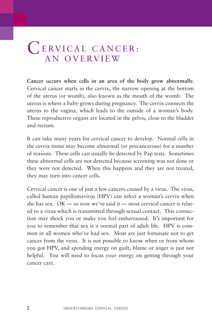# CERVICAL CANCER: AN OVERVIEW

**Cancer occurs when cells in an area of the body grow abnormally.** Cervical cancer starts in the cervix, the narrow opening at the bottom of the uterus (or womb), also known as the mouth of the womb. The uterus is where a baby grows during pregnancy. The cervix connects the uterus to the vagina, which leads to the outside of a woman's body. These reproductive organs are located in the pelvis, close to the bladder and rectum.

It can take many years for cervical cancer to develop. Normal cells in the cervix tissue may become abnormal (or precancerous) for a number of reasons. These cells can usually be detected by Pap tests. Sometimes these abnormal cells are not detected because screening was not done or they were not detected. When this happens and they are not treated, they may turn into cancer cells.

Cervical cancer is one of just a few cancers caused by a virus. The virus, called human papillomavirus (HPV) can infect a woman's cervix when she has sex. OK — so now we've said it — most cervical cancer is related to a virus which is transmitted through sexual contact. This connection may shock you or make you feel embarrassed. It's important for you to remember that sex is a normal part of adult life. HPV is common in all women who've had sex. Most are just fortunate not to get cancer from the virus. It is not possible to know when or from whom you got HPV, and spending energy on guilt, blame or anger is just not helpful. You will need to focus your energy on getting through your cancer care.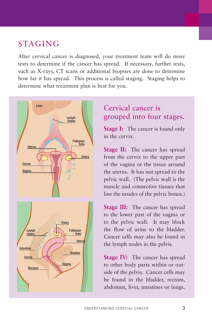# STAGING

After cervical cancer is diagnosed, your treatment team will do more tests to determine if the cancer has spread. If necessary, further tests, such as X-rays, CT scans or additional biopsies are done to determine how far it has spread. This process is called staging. Staging helps to determine what treatment plan is best for you.



# Cervical cancer is grouped into four stages.

**Stage I:** The cancer is found only in the cervix.

**Stage II:** The cancer has spread from the cervix to the upper part of the vagina or the tissue around the uterus. It has not spread to the pelvic wall. (The pelvic wall is the muscle and connective tissues that line the insides of the pelvic bones.)

**Stage III:** The cancer has spread to the lower part of the vagina or to the pelvic wall. It may block the flow of urine to the bladder. Cancer cells may also be found in the lymph nodes in the pelvis.

**Stage IV:** The cancer has spread to other body parts within or outside of the pelvis. Cancer cells may be found in the bladder, rectum, abdomen, liver, intestines or lungs.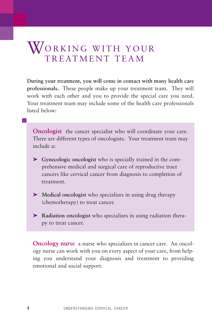# WORKING WITH YOUR TREATMENT TEAM

**During your treatment, you will come in contact with many health care professionals.** These people make up your treatment team. They will work with each other and you to provide the special care you need. Your treatment team may include some of the health care professionals listed below:

**Oncologist** the cancer specialist who will coordinate your care. There are different types of oncologists. Your treatment team may include a:

- ➤ **Gynecologic oncologist** who is specially trained in the comprehensive medical and surgical care of reproductive tract cancers like cervical cancer from diagnosis to completion of treatment.
- ➤ **Medical oncologist** who specializes in using drug therapy (chemotherapy) to treat cancer.
- ➤ **Radiation oncologist** who specializes in using radiation therapy to treat cancer.

**Oncology nurse** a nurse who specializes in cancer care. An oncology nurse can work with you on every aspect of your care, from helping you understand your diagnosis and treatment to providing emotional and social support.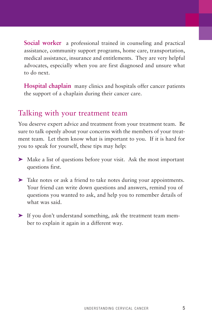**Social worker** a professional trained in counseling and practical assistance, community support programs, home care, transportation, medical assistance, insurance and entitlements. They are very helpful advocates, especially when you are first diagnosed and unsure what to do next.

**Hospital chaplain** many clinics and hospitals offer cancer patients the support of a chaplain during their cancer care.

# Talking with your treatment team

You deserve expert advice and treatment from your treatment team. Be sure to talk openly about your concerns with the members of your treatment team. Let them know what is important to you. If it is hard for you to speak for yourself, these tips may help:

- ➤ Make a list of questions before your visit. Ask the most important questions first.
- ➤ Take notes or ask a friend to take notes during your appointments. Your friend can write down questions and answers, remind you of questions you wanted to ask, and help you to remember details of what was said.
- ➤ If you don't understand something, ask the treatment team member to explain it again in a different way.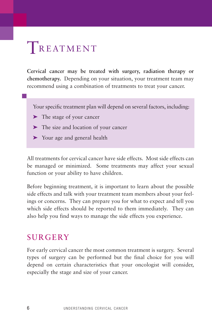# TREATMENT

**Cervical cancer may be treated with surgery, radiation therapy or chemotherapy.** Depending on your situation, your treatment team may recommend using a combination of treatments to treat your cancer.

Your specific treatment plan will depend on several factors, including:

- ➤ The stage of your cancer
- ➤ The size and location of your cancer
- ➤ Your age and general health

All treatments for cervical cancer have side effects. Most side effects can be managed or minimized. Some treatments may affect your sexual function or your ability to have children.

Before beginning treatment, it is important to learn about the possible side effects and talk with your treatment team members about your feelings or concerns. They can prepare you for what to expect and tell you which side effects should be reported to them immediately. They can also help you find ways to manage the side effects you experience.

# **SURGERY**

For early cervical cancer the most common treatment is surgery. Several types of surgery can be performed but the final choice for you will depend on certain characteristics that your oncologist will consider, especially the stage and size of your cancer.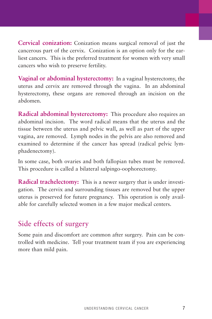**Cervical conization:** Conization means surgical removal of just the cancerous part of the cervix. Conization is an option only for the earliest cancers. This is the preferred treatment for women with very small cancers who wish to preserve fertility.

**Vaginal or abdominal hysterectomy:** In a vaginal hysterectomy, the uterus and cervix are removed through the vagina. In an abdominal hysterectomy, these organs are removed through an incision on the abdomen.

**Radical abdominal hysterectomy:** This procedure also requires an abdominal incision. The word radical means that the uterus and the tissue between the uterus and pelvic wall, as well as part of the upper vagina, are removed. Lymph nodes in the pelvis are also removed and examined to determine if the cancer has spread (radical pelvic lymphadenectomy).

In some case, both ovaries and both fallopian tubes must be removed. This procedure is called a bilateral salpingo-oophorectomy.

**Radical trachelectomy:** This is a newer surgery that is under investigation. The cervix and surrounding tissues are removed but the upper uterus is preserved for future pregnancy. This operation is only available for carefully selected women in a few major medical centers.

# Side effects of surgery

Some pain and discomfort are common after surgery. Pain can be controlled with medicine. Tell your treatment team if you are experiencing more than mild pain.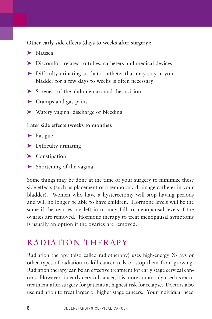**Other early side effects (days to weeks after surgery):** 

- ➤ Nausea
- ➤ Discomfort related to tubes, catheters and medical devices
- ➤ Difficulty urinating so that a catheter that may stay in your bladder for a few days to weeks is often necessary
- ➤ Soreness of the abdomen around the incision
- ➤ Cramps and gas pains
- ➤ Watery vaginal discharge or bleeding

#### **Later side effects (weeks to months):**

- ▶ Fatigue
- ➤ Difficulty urinating
- ▶ Constipation
- ➤ Shortening of the vagina

Some things may be done at the time of your surgery to minimize these side effects (such as placement of a temporary drainage catheter in your bladder). Women who have a hysterectomy will stop having periods and will no longer be able to have children. Hormone levels will be the same if the ovaries are left in or may fall to menopausal levels if the ovaries are removed. Hormone therapy to treat menopausal symptoms is usually an option if the ovaries are removed.

# RADIATION THERAPY

Radiation therapy (also called radiotherapy) uses high-energy X-rays or other types of radiation to kill cancer cells or stop them from growing. Radiation therapy can be an effective treatment for early stage cervical cancers. However, in early cervical cancer, it is more commonly used as extra treatment after surgery for patients at highest risk for relapse. Doctors also use radiation to treat larger or higher stage cancers. Your individual need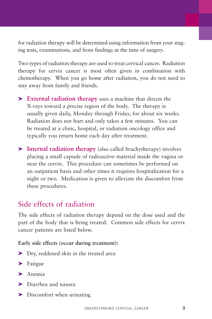for radiation therapy will be determined using information from your staging tests, examinations, and from findings at the time of surgery.

Two types of radiation therapy are used to treat cervical cancer. Radiation therapy for cervix cancer is most often given in combination with chemotherapy. When you go home after radiation, you do not need to stay away from family and friends.

- ➤ **External radiation therapy** uses a machine that directs the X-rays toward a precise region of the body. The therapy is usually given daily, Monday through Friday, for about six weeks. Radiation does not hurt and only takes a few minutes. You can be treated at a clinic, hospital, or radiation oncology office and typically you return home each day after treatment.
- ➤ **Internal radiation therapy** (also called brachytherapy) involves placing a small capsule of radioactive material inside the vagina or near the cervix. This procedure can sometimes be performed on an outpatient basis and other times it requires hospitalization for a night or two. Medication is given to alleviate the discomfort from these procedures.

# Side effects of radiation

The side effects of radiation therapy depend on the dose used and the part of the body that is being treated. Common side effects for cervix cancer patients are listed below.

### **Early side effects (occur during treatment):**

- ➤ Dry, reddened skin in the treated area
- ▶ Fatigue
- ➤ Anemia
- ➤ Diarrhea and nausea
- ➤ Discomfort when urinating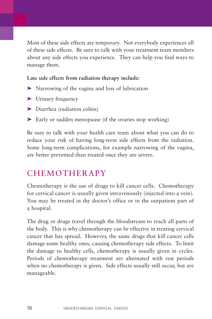Most of these side effects are temporary. Not everybody experiences all of these side effects. Be sure to talk with your treatment team members about any side effects you experience. They can help you find ways to manage them.

**Late side effects from radiation therapy include:**

- ➤ Narrowing of the vagina and loss of lubrication
- ➤ Urinary frequency
- ➤ Diarrhea (radiation colitis)
- ► Early or sudden menopause (if the ovaries stop working)

Be sure to talk with your health care team about what you can do to reduce your risk of having long-term side effects from the radiation. Some long-term complications, for example narrowing of the vagina, are better prevented than treated once they are severe.

# CHEMOTHERAPY

Chemotherapy is the use of drugs to kill cancer cells. Chemotherapy for cervical cancer is usually given intravenously (injected into a vein). You may be treated in the doctor's office or in the outpatient part of a hospital.

The drug or drugs travel through the bloodstream to reach all parts of the body. This is why chemotherapy can be effective in treating cervical cancer that has spread. However, the same drugs that kill cancer cells damage some healthy ones, causing chemotherapy side effects. To limit the damage to healthy cells, chemotherapy is usually given in cycles. Periods of chemotherapy treatment are alternated with rest periods when no chemotherapy is given. Side effects usually still occur, but are manageable.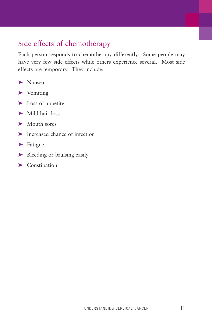# Side effects of chemotherapy

Each person responds to chemotherapy differently. Some people may have very few side effects while others experience several. Most side effects are temporary. They include:

- ➤ Nausea
- ➤ Vomiting
- ➤ Loss of appetite
- ➤ Mild hair loss
- ➤ Mouth sores
- ➤ Increased chance of infection
- ▶ Fatigue
- ➤ Bleeding or bruising easily
- ▶ Constipation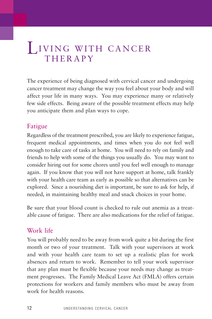# LIVING WITH CANCER **THERAPY**

The experience of being diagnosed with cervical cancer and undergoing cancer treatment may change the way you feel about your body and will affect your life in many ways. You may experience many or relatively few side effects. Being aware of the possible treatment effects may help you anticipate them and plan ways to cope.

# Fatigue

Regardless of the treatment prescribed, you are likely to experience fatigue, frequent medical appointments, and times when you do not feel well enough to take care of tasks at home. You will need to rely on family and friends to help with some of the things you usually do. You may want to consider hiring out for some chores until you feel well enough to manage again. If you know that you will not have support at home, talk frankly with your health care team as early as possible so that alternatives can be explored. Since a nourishing diet is important, be sure to ask for help, if needed, in maintaining healthy meal and snack choices in your home.

Be sure that your blood count is checked to rule out anemia as a treatable cause of fatigue. There are also medications for the relief of fatigue.

# Work life

You will probably need to be away from work quite a bit during the first month or two of your treatment. Talk with your supervisors at work and with your health care team to set up a realistic plan for work absences and return to work. Remember to tell your work supervisor that any plan must be flexible because your needs may change as treatment progresses. The Family Medical Leave Act (FMLA) offers certain protections for workers and family members who must be away from work for health reasons.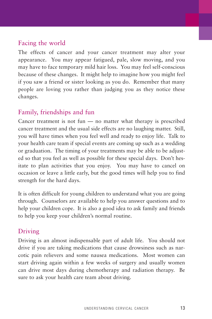# Facing the world

The effects of cancer and your cancer treatment may alter your appearance. You may appear fatigued, pale, slow moving, and you may have to face temporary mild hair loss. You may feel self-conscious because of these changes. It might help to imagine how you might feel if you saw a friend or sister looking as you do. Remember that many people are loving you rather than judging you as they notice these changes.

# Family, friendships and fun

Cancer treatment is not fun — no matter what therapy is prescribed cancer treatment and the usual side effects are no laughing matter. Still, you will have times when you feel well and ready to enjoy life. Talk to your health care team if special events are coming up such as a wedding or graduation. The timing of your treatments may be able to be adjusted so that you feel as well as possible for these special days. Don't hesitate to plan activities that you enjoy. You may have to cancel on occasion or leave a little early, but the good times will help you to find strength for the hard days.

It is often difficult for young children to understand what you are going through. Counselors are available to help you answer questions and to help your children cope. It is also a good idea to ask family and friends to help you keep your children's normal routine.

# Driving

Driving is an almost indispensable part of adult life. You should not drive if you are taking medications that cause drowsiness such as narcotic pain relievers and some nausea medications. Most women can start driving again within a few weeks of surgery and usually women can drive most days during chemotherapy and radiation therapy. Be sure to ask your health care team about driving.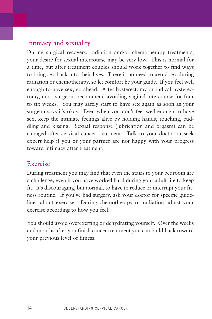# Intimacy and sexuality

During surgical recovery, radiation and/or chemotherapy treatments, your desire for sexual intercourse may be very low. This is normal for a time, but after treatment couples should work together to find ways to bring sex back into their lives. There is no need to avoid sex during radiation or chemotherapy, so let comfort be your guide. If you feel well enough to have sex, go ahead. After hysterectomy or radical hysterectomy, most surgeons recommend avoiding vaginal intercourse for four to six weeks. You may safely start to have sex again as soon as your surgeon says it's okay. Even when you don't feel well enough to have sex, keep the intimate feelings alive by holding hands, touching, cuddling and kissing. Sexual response (lubrication and orgasm) can be changed after cervical cancer treatment. Talk to your doctor or seek expert help if you or your partner are not happy with your progress toward intimacy after treatment.

### Exercise

During treatment you may find that even the stairs to your bedroom are a challenge, even if you have worked hard during your adult life to keep fit. It's discouraging, but normal, to have to reduce or interrupt your fitness routine. If you've had surgery, ask your doctor for specific guidelines about exercise. During chemotherapy or radiation adjust your exercise according to how you feel.

You should avoid overexerting or dehydrating yourself. Over the weeks and months after you finish cancer treatment you can build back toward your previous level of fitness.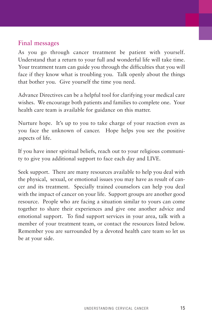## Final messages

As you go through cancer treatment be patient with yourself. Understand that a return to your full and wonderful life will take time. Your treatment team can guide you through the difficulties that you will face if they know what is troubling you. Talk openly about the things that bother you. Give yourself the time you need.

Advance Directives can be a helpful tool for clarifying your medical care wishes. We encourage both patients and families to complete one. Your health care team is available for guidance on this matter.

Nurture hope. It's up to you to take charge of your reaction even as you face the unknown of cancer. Hope helps you see the positive aspects of life.

If you have inner spiritual beliefs, reach out to your religious community to give you additional support to face each day and LIVE.

Seek support. There are many resources available to help you deal with the physical, sexual, or emotional issues you may have as result of cancer and its treatment. Specially trained counselors can help you deal with the impact of cancer on your life. Support groups are another good resource. People who are facing a situation similar to yours can come together to share their experiences and give one another advice and emotional support. To find support services in your area, talk with a member of your treatment team, or contact the resources listed below. Remember you are surrounded by a devoted health care team so let us be at your side.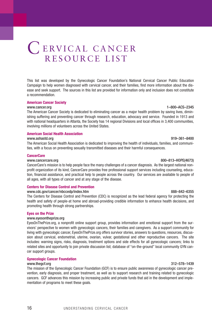# C ERVICAL CANCER RESOURCE LIST

This list was developed by the Gynecologic Cancer Foundation's National Cervical Cancer Public Education Campaign to help women diagnosed with cervical cancer, and their families, find more information about the disease and seek support. The sources in this list are provided for information only and inclusion does not constitute a recommendation.

#### **American Cancer Society**

#### www.cancer.org 1–800–ACS–2345

The American Cancer Society is dedicated to eliminating cancer as a major health problem by saving lives, diminishing suffering and preventing cancer through research, education, advocacy and service. Founded in 1913 and with national headquarters in Atlanta, the Society has 14 regional Divisions and local offices in 3,400 communities, involving millions of volunteers across the United States.

#### **American Social Health Association**

#### www.ashastd.org 919–361–8400

The American Social Health Association is dedicated to improving the health of individuals, families, and communities, with a focus on preventing sexually transmitted diseases and their harmful consequences.

#### **CancerCare**

CancerCare's mission is to help people face the many challenges of a cancer diagnosis. As the largest national nonprofit organization of its kind, CancerCare provides free professional support services including counseling, education, financial assistance, and practical help to people across the country. Our services are available to people of all ages, with all types of cancer and at any stage of the disease.

#### **Centers for Disease Control and Prevention**

#### www.cdc.gov/cancer/nbccedp/index.htm 888–842–6355

The Centers for Disease Control and Prevention (CDC) is recognized as the lead federal agency for protecting the health and safety of people-at home and abroad-providing credible information to enhance health decisions, and promoting health through strong partnerships.

#### **Eyes on the Prize**

#### www.eyesontheprize.org

EyesOnThePrize.org, a nonprofit online support group, provides information and emotional support from the survivors' perspective to women with gynecologic cancers, their families and caregivers. As a support community for living with gynecologic cancer, EyesOnThePrize.org offers survivor stories, answers to questions, resources, discussion about cervical, endometrial, uterine, ovarian, vulvar, gestational and other reproductive cancers. The site includes: warning signs, risks, diagnosis, treatment options and side effects for all gynecologic cancers; links to related sites and opportunity to join private discussion list; database of "on-the-ground" local community GYN cancer support groups.

#### **Gynecologic Cancer Foundation**

#### www.thegcf.org 312–578–1439

The mission of the Gynecologic Cancer Foundation (GCF) is to ensure public awareness of gynecologic cancer prevention, early diagnosis, and proper treatment, as well as to support research and training related to gynecologic cancers. GCF advances this mission by increasing public and private funds that aid in the development and implementation of programs to meet these goals.

#### www.cancercare.org 800–813–HOPE(4673)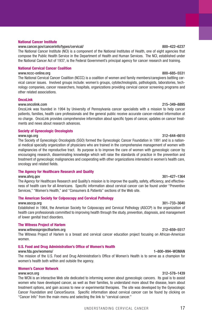#### **National Cancer Institute**

#### www.cancer.gov/cancerinfo/types/cervical/ 800–422–6237

The National Cancer Institute (NCI) is a component of the National Institutes of Health, one of eight agencies that compose the Public Health Service in the Department of Health and Human Services. The NCI, established under the National Cancer Act of 1937, is the Federal Government's principal agency for cancer research and training.

#### **National Cervical Cancer Coalition**

#### www.nccc-online.org 800–685–5531

The National Cervical Cancer Coalition (NCCC) is a coalition of women and family members/caregivers battling cervical cancer issues. Involved groups include: women's groups, cytotechnologists, pathologists, laboratories, technology companies, cancer researchers, hospitals, organizations providing cervical cancer screening programs and other related associations.

#### **OncoLink**

#### www.oncolink.com 215–349–8895

OncoLink was founded in 1994 by University of Pennsylvania cancer specialists with a mission to help cancer patients, families, health care professionals and the general public receive accurate cancer-related information at no charge. OncoLink provides comprehensive information about specific types of cancer, updates on cancer treatments and news about research advances.

#### **Society of Gynecologic Oncologists**

#### www.sgo.org 312–644–6610

The Society of Gynecologic Oncologists (SGO) formed the Gynecologic Cancer Foundation in 1991 and is a national medical specialty organization of physicians who are trained in the comprehensive management of women with malignancies of the reproductive tract. Its purpose is to improve the care of women with gynecologic cancer by encouraging research, disseminating knowledge which will raise the standards of practice in the prevention and treatment of gynecologic malignancies and cooperating with other organizations interested in women's health care, oncology and related fields.

#### **The Agency for Healthcare Research and Quality**

#### www.ahrq.gov 301–427–1364

The Agency for Healthcare Research and Quality's mission is to improve the quality, safety, efficiency, and effectiveness of health care for all Americans. Specific information about cervical cancer can be found under "Preventive Services," "Women's Health," and "Consumers & Patients" sections of the Web site.

#### **The American Society for Colposcopy and Cervical Pathology**

#### www.asccp.org 301–733–3640

Established in 1964, the American Society for Colposcopy and Cervical Pathology (ASCCP) is the organization of health care professionals committed to improving health through the study, prevention, diagnosis, and management of lower genital tract disorders.

#### **The Witness Project of Harlem**

#### www.witnessprojectharlem.org 212–659–5517

The Witness Project of Harlem is a breast and cervical cancer education project focusing on African-American women.

#### **U.S. Food and Drug Administration's Office of Women's Health**

#### www.fda.gov/womens/ 1–800–994–WOMAN

The mission of the U.S. Food and Drug Administration's Office of Women's Health is to serve as a champion for women's health both within and outside the agency.

#### **Women's Cancer Network**

#### www.wcn.org 312–578–1439

The WCN is an interactive Web site dedicated to informing women about gynecologic cancers. Its goal is to assist women who have developed cancer, as well as their families, to understand more about the disease, learn about treatment options, and gain access to new or experimental therapies. The site was developed by the Gynecologic Cancer Foundation and CancerSource. Specific information about cervical cancer can be found by clicking on "Cancer Info" from the main menu and selecting the link to "cervical cancer."